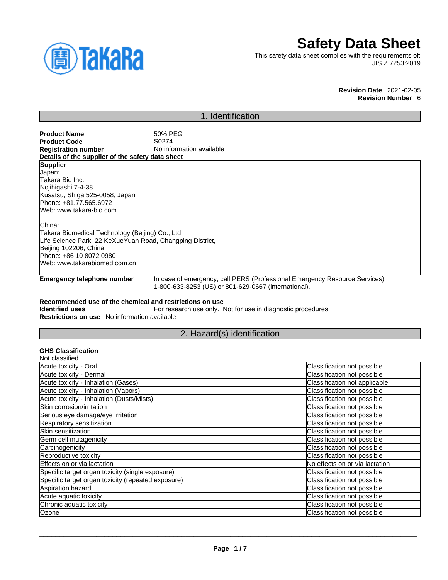

# **Safety Data Sheet**

This safety data sheet complies with the requirements of: JIS Z 7253:2019

## **Revision Date** 2021-02-05 **Revision Number** 6

## 1. Identification

| <b>Product Name</b><br><b>Product Code</b><br><b>Registration number</b><br>Details of the supplier of the safety data sheet                                                                                                                                                                                                                                             | 50% PEG<br>S0274<br>No information available |
|--------------------------------------------------------------------------------------------------------------------------------------------------------------------------------------------------------------------------------------------------------------------------------------------------------------------------------------------------------------------------|----------------------------------------------|
| <b>Supplier</b><br>Japan:<br>Takara Bio Inc.<br>Nojihigashi 7-4-38<br>Kusatsu, Shiga 525-0058, Japan<br>Phone: +81.77.565.6972<br>Web: www.takara-bio.com<br>China:<br>Takara Biomedical Technology (Beijing) Co., Ltd.<br>Life Science Park, 22 KeXueYuan Road, Changping District,<br>Beijing 102206, China<br>Phone: +86 10 8072 0980<br>Web: www.takarabiomed.com.cn |                                              |

**Emergency telephone number** In case of emergency, call PERS (Professional Emergency Resource Services) 1-800-633-8253 (US) or 801-629-0667 (international).

## **Recommended use of the chemical and restrictions on use**

**Identified uses** For research use only. Not for use in diagnostic procedures **Restrictions on use** No information available

## 2. Hazard(s) identification

## **GHS Classification**

| Classification not possible    |
|--------------------------------|
| Classification not possible    |
| Classification not applicable  |
| Classification not possible    |
| Classification not possible    |
| Classification not possible    |
| Classification not possible    |
| Classification not possible    |
| Classification not possible    |
| Classification not possible    |
| Classification not possible    |
| Classification not possible    |
| No effects on or via lactation |
| Classification not possible    |
| Classification not possible    |
| Classification not possible    |
| Classification not possible    |
| Classification not possible    |
| Classification not possible    |
|                                |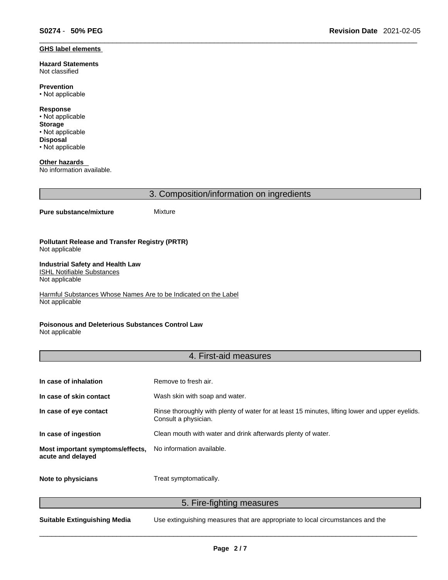#### **GHS label elements**

**Hazard Statements**  Not classified

**Prevention** • Not applicable

**Response** • Not applicable **Storage** • Not applicable **Disposal**

• Not applicable

**Other hazards**  No information available.

3. Composition/information on ingredients

## **Pure substance/mixture** Mixture

**Pollutant Release and Transfer Registry (PRTR)** Not applicable

#### **Industrial Safety and Health Law**  ISHL Notifiable Substances

Not applicable

Harmful Substances Whose Names Are to be Indicated on the Label Not applicable

## **Poisonous and Deleterious Substances Control Law**

Not applicable

## 4. First-aid measures

| In case of inhalation                                 | Remove to fresh air.                                                                                                    |
|-------------------------------------------------------|-------------------------------------------------------------------------------------------------------------------------|
| In case of skin contact                               | Wash skin with soap and water.                                                                                          |
| In case of eye contact                                | Rinse thoroughly with plenty of water for at least 15 minutes, lifting lower and upper eyelids.<br>Consult a physician. |
| In case of ingestion                                  | Clean mouth with water and drink afterwards plenty of water.                                                            |
| Most important symptoms/effects,<br>acute and delayed | No information available.                                                                                               |
| Note to physicians                                    | Treat symptomatically.                                                                                                  |

## 5. Fire-fighting measures

**Suitable Extinguishing Media** Use extinguishing measures that are appropriate to local circumstances and the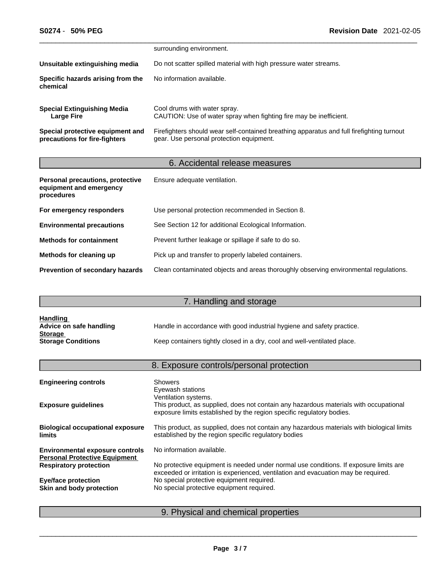|                                                                   | surrounding environment.                                                                                                              |
|-------------------------------------------------------------------|---------------------------------------------------------------------------------------------------------------------------------------|
| Unsuitable extinguishing media                                    | Do not scatter spilled material with high pressure water streams.                                                                     |
| Specific hazards arising from the<br>chemical                     | No information available.                                                                                                             |
| <b>Special Extinguishing Media</b><br>Large Fire                  | Cool drums with water spray.<br>CAUTION: Use of water spray when fighting fire may be inefficient.                                    |
| Special protective equipment and<br>precautions for fire-fighters | Firefighters should wear self-contained breathing apparatus and full firefighting turnout<br>gear. Use personal protection equipment. |

# 6. Accidental release measures

| Personal precautions, protective<br>equipment and emergency<br>procedures | Ensure adequate ventilation.                                                         |
|---------------------------------------------------------------------------|--------------------------------------------------------------------------------------|
| For emergency responders                                                  | Use personal protection recommended in Section 8.                                    |
| <b>Environmental precautions</b>                                          | See Section 12 for additional Ecological Information.                                |
| <b>Methods for containment</b>                                            | Prevent further leakage or spillage if safe to do so.                                |
| Methods for cleaning up                                                   | Pick up and transfer to properly labeled containers.                                 |
| <b>Prevention of secondary hazards</b>                                    | Clean contaminated objects and areas thoroughly observing environmental regulations. |

# 7. Handling and storage

| <b>Handling</b>           |                                                                          |
|---------------------------|--------------------------------------------------------------------------|
| Advice on safe handling   | Handle in accordance with good industrial hygiene and safety practice.   |
| <b>Storage</b>            |                                                                          |
| <b>Storage Conditions</b> | Keep containers tightly closed in a dry, cool and well-ventilated place. |

# 8. Exposure controls/personal protection

| <b>Engineering controls</b>                                                    | <b>Showers</b><br>Eyewash stations<br>Ventilation systems.                                                                                                                  |
|--------------------------------------------------------------------------------|-----------------------------------------------------------------------------------------------------------------------------------------------------------------------------|
| <b>Exposure guidelines</b>                                                     | This product, as supplied, does not contain any hazardous materials with occupational<br>exposure limits established by the region specific regulatory bodies.              |
| <b>Biological occupational exposure</b><br><b>limits</b>                       | This product, as supplied, does not contain any hazardous materials with biological limits<br>established by the region specific regulatory bodies                          |
| <b>Environmental exposure controls</b><br><b>Personal Protective Equipment</b> | No information available.                                                                                                                                                   |
| <b>Respiratory protection</b>                                                  | No protective equipment is needed under normal use conditions. If exposure limits are<br>exceeded or irritation is experienced, ventilation and evacuation may be required. |
| <b>Eye/face protection</b>                                                     | No special protective equipment required.                                                                                                                                   |
| Skin and body protection                                                       | No special protective equipment required.                                                                                                                                   |
|                                                                                |                                                                                                                                                                             |

# 9. Physical and chemical properties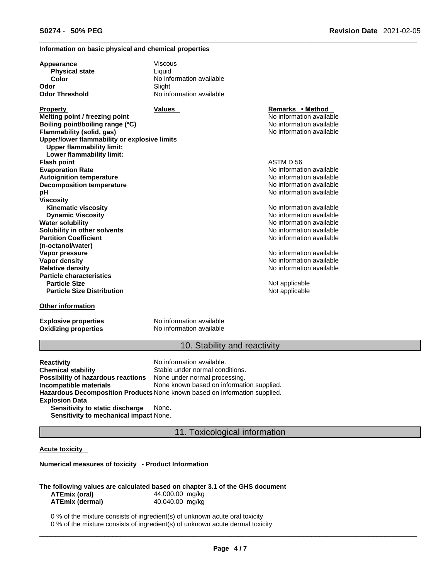## **Information on basic physical and chemical properties**

| Appearance                                   | Viscous                  |
|----------------------------------------------|--------------------------|
| <b>Physical state</b>                        | Liauid                   |
| Color                                        | No information available |
| Odor                                         | Slight                   |
| <b>Odor Threshold</b>                        | No information available |
| <b>Property</b>                              | <b>Values</b>            |
| Melting point / freezing point               |                          |
| Boiling point/boiling range (°C)             |                          |
| Flammability (solid, gas)                    |                          |
| Upper/lower flammability or explosive limits |                          |
| <b>Upper flammability limit:</b>             |                          |
| Lower flammability limit:                    |                          |
| <b>Flash point</b>                           |                          |
| <b>Evaporation Rate</b>                      |                          |
| <b>Autoignition temperature</b>              |                          |
| <b>Decomposition temperature</b>             |                          |
| рH                                           |                          |
| <b>Viscosity</b>                             |                          |
| <b>Kinematic viscosity</b>                   |                          |
| <b>Dynamic Viscosity</b>                     |                          |
| <b>Water solubility</b>                      |                          |
| Solubility in other solvents                 |                          |
| <b>Partition Coefficient</b>                 |                          |
| (n-octanol/water)                            |                          |
| Vapor pressure                               |                          |
| <b>Vapor density</b>                         |                          |
| <b>Relative density</b>                      |                          |
| <b>Particle characteristics</b>              |                          |
| <b>Particle Size</b>                         |                          |
| <b>Particle Size Distribution</b>            |                          |
| <b>Other information</b>                     |                          |

**Explosive properties** No information available

**Oxidizing properties** No information available

**Remarks • Method**  $\overline{\text{No}$  information available **Boiling point/boiling range (°C)** No information available **Flammability (solid, gas)** No information available

**Flash point** ASTM D 56 **Evaporation Rate** No information available **No information available No information available No information available** 

**Kinematic viscosity** No information available **Dynamic Viscosity** No information available **No information available No information available** No information available

**No information available No information available Relative density** No information available

**Not applicable Not applicable** 

## 10. Stability and reactivity

**Reactivity Reactivity Reactivity Chemical stability No information available.**<br> **Chemical stability Reaction** Stable under normal cond Stable under normal conditions.<br>None under normal processing. **Possibility of hazardous reactions Incompatible materials** None known based on information supplied. **Hazardous Decomposition Products** None known based on information supplied. **Explosion Data Sensitivity to static discharge** None. **Sensitivity to mechanical impact** None.

11. Toxicological information

## **Acute toxicity**

## **Numerical measures of toxicity - Product Information**

## **The following values are calculated based on chapter 3.1 of the GHS document ATEmix (oral)** 44,000.00 mg/kg

| <b>ATEmix (dermal)</b> | 40,040.00 mg/kg |  |
|------------------------|-----------------|--|
|                        |                 |  |

0 % of the mixture consists of ingredient(s) of unknown acute oral toxicity 0 % of the mixture consists of ingredient(s) of unknown acute dermal toxicity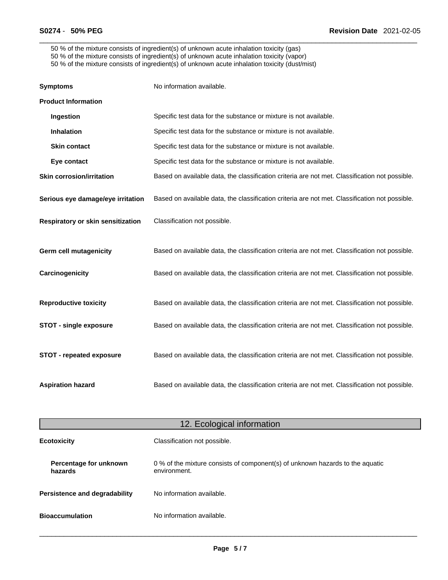50 % of the mixture consists of ingredient(s) of unknown acute inhalation toxicity (gas) 50 % of the mixture consists of ingredient(s) of unknown acute inhalation toxicity (vapor) 50 % of the mixture consists of ingredient(s) of unknown acute inhalation toxicity (dust/mist)

| <b>Symptoms</b>                   | No information available.                                                                      |
|-----------------------------------|------------------------------------------------------------------------------------------------|
| <b>Product Information</b>        |                                                                                                |
| Ingestion                         | Specific test data for the substance or mixture is not available.                              |
| Inhalation                        | Specific test data for the substance or mixture is not available.                              |
| <b>Skin contact</b>               | Specific test data for the substance or mixture is not available.                              |
| Eye contact                       | Specific test data for the substance or mixture is not available.                              |
| <b>Skin corrosion/irritation</b>  | Based on available data, the classification criteria are not met. Classification not possible. |
| Serious eye damage/eye irritation | Based on available data, the classification criteria are not met. Classification not possible. |
| Respiratory or skin sensitization | Classification not possible.                                                                   |
| <b>Germ cell mutagenicity</b>     | Based on available data, the classification criteria are not met. Classification not possible. |
| Carcinogenicity                   | Based on available data, the classification criteria are not met. Classification not possible. |
| <b>Reproductive toxicity</b>      | Based on available data, the classification criteria are not met. Classification not possible. |
| <b>STOT - single exposure</b>     | Based on available data, the classification criteria are not met. Classification not possible. |
| <b>STOT - repeated exposure</b>   | Based on available data, the classification criteria are not met. Classification not possible. |
| <b>Aspiration hazard</b>          | Based on available data, the classification criteria are not met. Classification not possible. |

| 12. Ecological information                         |                                                                                               |
|----------------------------------------------------|-----------------------------------------------------------------------------------------------|
| <b>Ecotoxicity</b><br>Classification not possible. |                                                                                               |
| Percentage for unknown<br>hazards                  | 0 % of the mixture consists of component(s) of unknown hazards to the aquatic<br>environment. |
| <b>Persistence and degradability</b>               | No information available.                                                                     |
| <b>Bioaccumulation</b>                             | No information available.                                                                     |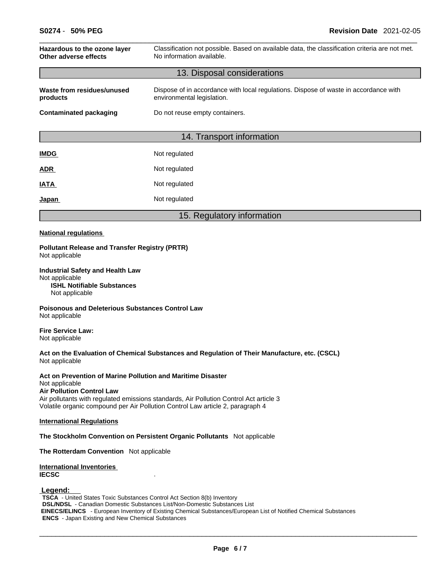| Hazardous to the ozone layer<br>Other adverse effects | Classification not possible. Based on available data, the classification criteria are not met.<br>No information available. |
|-------------------------------------------------------|-----------------------------------------------------------------------------------------------------------------------------|
| 13. Disposal considerations                           |                                                                                                                             |
| Waste from residues/unused<br>products                | Dispose of in accordance with local regulations. Dispose of waste in accordance with<br>environmental legislation.          |
| <b>Contaminated packaging</b>                         | Do not reuse empty containers.                                                                                              |
|                                                       |                                                                                                                             |
|                                                       | 14. Transport information                                                                                                   |
| <b>IMDG</b>                                           | Not regulated                                                                                                               |
| <b>ADR</b>                                            | Not regulated                                                                                                               |
| <b>IATA</b>                                           | Not regulated                                                                                                               |
| Japan                                                 | Not regulated                                                                                                               |
|                                                       | 15. Regulatory information                                                                                                  |

## **National regulations**

#### **Pollutant Release and Transfer Registry (PRTR)** Not applicable

#### **Industrial Safety and Health Law** Not applicable **ISHL Notifiable Substances**

Not applicable

**Poisonous and Deleterious Substances Control Law** Not applicable

**Fire Service Law:** Not applicable

## **Act on the Evaluation of Chemical Substances and Regulation of Their Manufacture, etc. (CSCL)** Not applicable

## **Act on Prevention of Marine Pollution and Maritime Disaster**

#### Not applicable **Air Pollution Control Law**

Air pollutants with regulated emissions standards, Air Pollution Control Act article 3 Volatile organic compound per Air Pollution Control Law article 2, paragraph 4

## **International Regulations**

**The Stockholm Convention on Persistent Organic Pollutants** Not applicable

**The Rotterdam Convention** Not applicable

## **International Inventories IECSC** .

## **Legend:**

**TSCA** - United States Toxic Substances Control Act Section 8(b) Inventory **DSL/NDSL** - Canadian Domestic Substances List/Non-Domestic Substances List  **EINECS/ELINCS** - European Inventory of Existing Chemical Substances/European List of Notified Chemical Substances **ENCS** - Japan Existing and New Chemical Substances